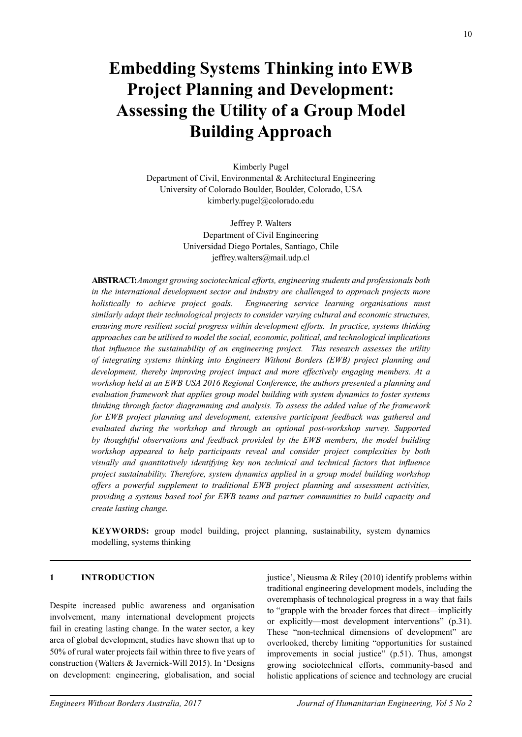# **Embedding Systems Thinking into EWB Project Planning and Development: Assessing the Utility of a Group Model Building Approach**

Kimberly Pugel

Department of Civil, Environmental & Architectural Engineering University of Colorado Boulder, Boulder, Colorado, USA kimberly.pugel@colorado.edu

> Jeffrey P. Walters Department of Civil Engineering Universidad Diego Portales, Santiago, Chile jeffrey.walters@mail.udp.cl

**Abstract:** *Amongst growing sociotechnical efforts, engineering students and professionals both in the international development sector and industry are challenged to approach projects more holistically to achieve project goals. Engineering service learning organisations must similarly adapt their technological projects to consider varying cultural and economic structures, ensuring more resilient social progress within development efforts. In practice, systems thinking approaches can be utilised to model the social, economic, political, and technological implications that influence the sustainability of an engineering project. This research assesses the utility of integrating systems thinking into Engineers Without Borders (EWB) project planning and development, thereby improving project impact and more effectively engaging members. At a workshop held at an EWB USA 2016 Regional Conference, the authors presented a planning and evaluation framework that applies group model building with system dynamics to foster systems thinking through factor diagramming and analysis. To assess the added value of the framework for EWB project planning and development, extensive participant feedback was gathered and evaluated during the workshop and through an optional post-workshop survey. Supported by thoughtful observations and feedback provided by the EWB members, the model building workshop appeared to help participants reveal and consider project complexities by both visually and quantitatively identifying key non technical and technical factors that influence project sustainability. Therefore, system dynamics applied in a group model building workshop offers a powerful supplement to traditional EWB project planning and assessment activities, providing a systems based tool for EWB teams and partner communities to build capacity and create lasting change.*

**KEYWORDS:** group model building, project planning, sustainability, system dynamics modelling, systems thinking

#### **1 INTRODUCTION**

Despite increased public awareness and organisation involvement, many international development projects fail in creating lasting change. In the water sector, a key area of global development, studies have shown that up to 50% of rural water projects fail within three to five years of construction (Walters & Javernick-Will 2015). In 'Designs on development: engineering, globalisation, and social justice', Nieusma & Riley (2010) identify problems within traditional engineering development models, including the overemphasis of technological progress in a way that fails to "grapple with the broader forces that direct—implicitly or explicitly—most development interventions" (p.31). These "non-technical dimensions of development" are overlooked, thereby limiting "opportunities for sustained improvements in social justice" (p.51). Thus, amongst growing sociotechnical efforts, community-based and holistic applications of science and technology are crucial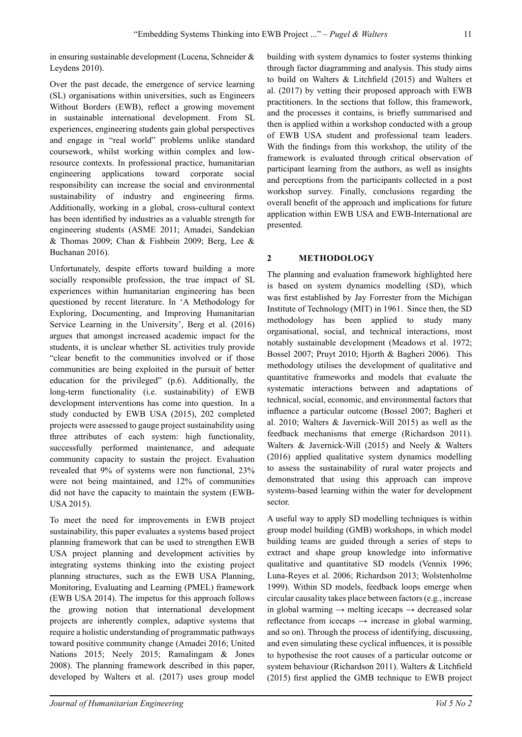in ensuring sustainable development (Lucena, Schneider & Leydens 2010).

Over the past decade, the emergence of service learning (SL) organisations within universities, such as Engineers Without Borders (EWB), reflect a growing movement in sustainable international development. From SL experiences, engineering students gain global perspectives and engage in "real world" problems unlike standard coursework, whilst working within complex and lowresource contexts. In professional practice, humanitarian engineering applications toward corporate social responsibility can increase the social and environmental sustainability of industry and engineering firms. Additionally, working in a global, cross-cultural context has been identified by industries as a valuable strength for engineering students (ASME 2011; Amadei, Sandekian & Thomas 2009; Chan & Fishbein 2009; Berg, Lee & Buchanan 2016).

Unfortunately, despite efforts toward building a more socially responsible profession, the true impact of SL experiences within humanitarian engineering has been questioned by recent literature. In 'A Methodology for Exploring, Documenting, and Improving Humanitarian Service Learning in the University', Berg et al. (2016) argues that amongst increased academic impact for the students, it is unclear whether SL activities truly provide "clear benefit to the communities involved or if those communities are being exploited in the pursuit of better education for the privileged" (p.6). Additionally, the long-term functionality (i.e. sustainability) of EWB development interventions has come into question. In a study conducted by EWB USA (2015), 202 completed projects were assessed to gauge project sustainability using three attributes of each system: high functionality, successfully performed maintenance, and adequate community capacity to sustain the project. Evaluation revealed that 9% of systems were non functional, 23% were not being maintained, and 12% of communities did not have the capacity to maintain the system (EWB-USA 2015).

To meet the need for improvements in EWB project sustainability, this paper evaluates a systems based project planning framework that can be used to strengthen EWB USA project planning and development activities by integrating systems thinking into the existing project planning structures, such as the EWB USA Planning, Monitoring, Evaluating and Learning (PMEL) framework (EWB USA 2014). The impetus for this approach follows the growing notion that international development projects are inherently complex, adaptive systems that require a holistic understanding of programmatic pathways toward positive community change (Amadei 2016; United Nations 2015; Neely 2015; Ramalingam & Jones 2008). The planning framework described in this paper, developed by Walters et al. (2017) uses group model building with system dynamics to foster systems thinking through factor diagramming and analysis. This study aims to build on Walters & Litchfield (2015) and Walters et al. (2017) by vetting their proposed approach with EWB practitioners. In the sections that follow, this framework, and the processes it contains, is briefly summarised and then is applied within a workshop conducted with a group of EWB USA student and professional team leaders. With the findings from this workshop, the utility of the framework is evaluated through critical observation of participant learning from the authors, as well as insights and perceptions from the participants collected in a post workshop survey. Finally, conclusions regarding the overall benefit of the approach and implications for future application within EWB USA and EWB-International are presented.

# **2 METHODOLOGY**

The planning and evaluation framework highlighted here is based on system dynamics modelling (SD), which was first established by Jay Forrester from the Michigan Institute of Technology (MIT) in 1961. Since then, the SD methodology has been applied to study many organisational, social, and technical interactions, most notably sustainable development (Meadows et al. 1972; Bossel 2007; Pruyt 2010; Hjorth & Bagheri 2006). This methodology utilises the development of qualitative and quantitative frameworks and models that evaluate the systematic interactions between and adaptations of technical, social, economic, and environmental factors that influence a particular outcome (Bossel 2007; Bagheri et al. 2010; Walters & Javernick-Will 2015) as well as the feedback mechanisms that emerge (Richardson 2011). Walters & Javernick-Will (2015) and Neely & Walters (2016) applied qualitative system dynamics modelling to assess the sustainability of rural water projects and demonstrated that using this approach can improve systems-based learning within the water for development sector.

A useful way to apply SD modelling techniques is within group model building (GMB) workshops, in which model building teams are guided through a series of steps to extract and shape group knowledge into informative qualitative and quantitative SD models (Vennix 1996; Luna-Reyes et al. 2006; Richardson 2013; Wolstenholme 1999). Within SD models, feedback loops emerge when circular causality takes place between factors (e.g., increase in global warming  $\rightarrow$  melting icecaps  $\rightarrow$  decreased solar reflectance from icecaps  $\rightarrow$  increase in global warming, and so on). Through the process of identifying, discussing, and even simulating these cyclical influences, it is possible to hypothesise the root causes of a particular outcome or system behaviour (Richardson 2011). Walters & Litchfield (2015) first applied the GMB technique to EWB project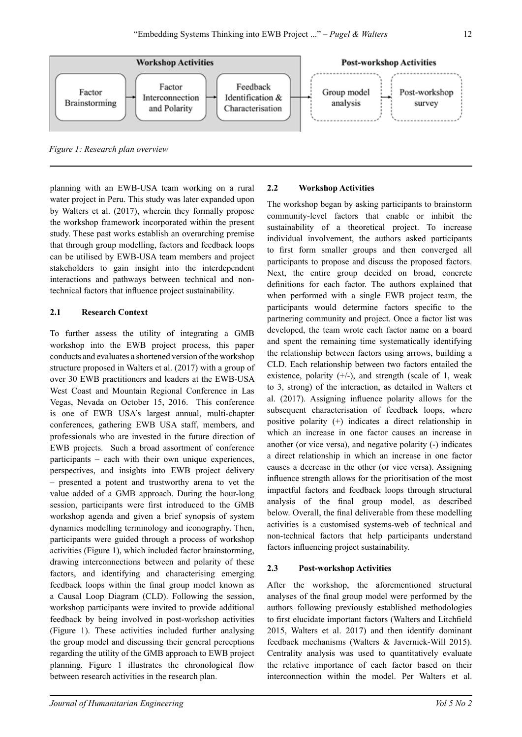

*Figure 1: Research plan overview*

planning with an EWB-USA team working on a rural water project in Peru. This study was later expanded upon by Walters et al. (2017), wherein they formally propose the workshop framework incorporated within the present study. These past works establish an overarching premise that through group modelling, factors and feedback loops can be utilised by EWB-USA team members and project stakeholders to gain insight into the interdependent interactions and pathways between technical and nontechnical factors that influence project sustainability.

#### **2.1 Research Context**

To further assess the utility of integrating a GMB workshop into the EWB project process, this paper conducts and evaluates a shortened version of the workshop structure proposed in Walters et al. (2017) with a group of over 30 EWB practitioners and leaders at the EWB-USA West Coast and Mountain Regional Conference in Las Vegas, Nevada on October 15, 2016. This conference is one of EWB USA's largest annual, multi-chapter conferences, gathering EWB USA staff, members, and professionals who are invested in the future direction of EWB projects. Such a broad assortment of conference participants – each with their own unique experiences, perspectives, and insights into EWB project delivery – presented a potent and trustworthy arena to vet the value added of a GMB approach. During the hour-long session, participants were first introduced to the GMB workshop agenda and given a brief synopsis of system dynamics modelling terminology and iconography. Then, participants were guided through a process of workshop activities (Figure 1), which included factor brainstorming, drawing interconnections between and polarity of these factors, and identifying and characterising emerging feedback loops within the final group model known as a Causal Loop Diagram (CLD). Following the session, workshop participants were invited to provide additional feedback by being involved in post-workshop activities (Figure 1). These activities included further analysing the group model and discussing their general perceptions regarding the utility of the GMB approach to EWB project planning. Figure 1 illustrates the chronological flow between research activities in the research plan.

#### **2.2 Workshop Activities**

The workshop began by asking participants to brainstorm community-level factors that enable or inhibit the sustainability of a theoretical project. To increase individual involvement, the authors asked participants to first form smaller groups and then converged all participants to propose and discuss the proposed factors. Next, the entire group decided on broad, concrete definitions for each factor. The authors explained that when performed with a single EWB project team, the participants would determine factors specific to the partnering community and project. Once a factor list was developed, the team wrote each factor name on a board and spent the remaining time systematically identifying the relationship between factors using arrows, building a CLD. Each relationship between two factors entailed the existence, polarity  $(+/-)$ , and strength (scale of 1, weak to 3, strong) of the interaction, as detailed in Walters et al. (2017). Assigning influence polarity allows for the subsequent characterisation of feedback loops, where positive polarity (+) indicates a direct relationship in which an increase in one factor causes an increase in another (or vice versa), and negative polarity (-) indicates a direct relationship in which an increase in one factor causes a decrease in the other (or vice versa). Assigning influence strength allows for the prioritisation of the most impactful factors and feedback loops through structural analysis of the final group model, as described below. Overall, the final deliverable from these modelling activities is a customised systems-web of technical and non-technical factors that help participants understand factors influencing project sustainability.

## **2.3 Post-workshop Activities**

After the workshop, the aforementioned structural analyses of the final group model were performed by the authors following previously established methodologies to first elucidate important factors (Walters and Litchfield 2015, Walters et al. 2017) and then identify dominant feedback mechanisms (Walters & Javernick-Will 2015). Centrality analysis was used to quantitatively evaluate the relative importance of each factor based on their interconnection within the model. Per Walters et al.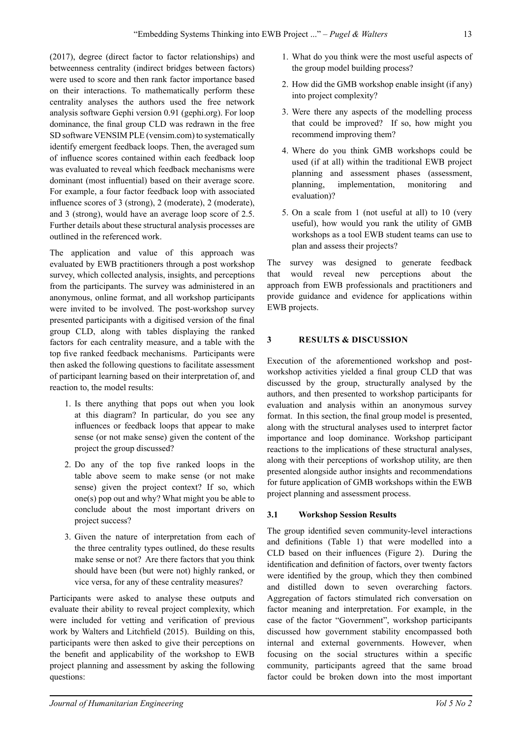(2017), degree (direct factor to factor relationships) and betweenness centrality (indirect bridges between factors) were used to score and then rank factor importance based on their interactions. To mathematically perform these centrality analyses the authors used the free network analysis software Gephi version 0.91 (gephi.org). For loop dominance, the final group CLD was redrawn in the free SD software VENSIM PLE (vensim.com) to systematically identify emergent feedback loops. Then, the averaged sum of influence scores contained within each feedback loop was evaluated to reveal which feedback mechanisms were dominant (most influential) based on their average score. For example, a four factor feedback loop with associated influence scores of 3 (strong), 2 (moderate), 2 (moderate), and 3 (strong), would have an average loop score of 2.5. Further details about these structural analysis processes are outlined in the referenced work.

The application and value of this approach was evaluated by EWB practitioners through a post workshop survey, which collected analysis, insights, and perceptions from the participants. The survey was administered in an anonymous, online format, and all workshop participants were invited to be involved. The post-workshop survey presented participants with a digitised version of the final group CLD, along with tables displaying the ranked factors for each centrality measure, and a table with the top five ranked feedback mechanisms. Participants were then asked the following questions to facilitate assessment of participant learning based on their interpretation of, and reaction to, the model results:

- 1. Is there anything that pops out when you look at this diagram? In particular, do you see any influences or feedback loops that appear to make sense (or not make sense) given the content of the project the group discussed?
- 2. Do any of the top five ranked loops in the table above seem to make sense (or not make sense) given the project context? If so, which one(s) pop out and why? What might you be able to conclude about the most important drivers on project success?
- 3. Given the nature of interpretation from each of the three centrality types outlined, do these results make sense or not? Are there factors that you think should have been (but were not) highly ranked, or vice versa, for any of these centrality measures?

Participants were asked to analyse these outputs and evaluate their ability to reveal project complexity, which were included for vetting and verification of previous work by Walters and Litchfield (2015). Building on this, participants were then asked to give their perceptions on the benefit and applicability of the workshop to EWB project planning and assessment by asking the following questions:

- 1. What do you think were the most useful aspects of the group model building process?
- 2. How did the GMB workshop enable insight (if any) into project complexity?
- 3. Were there any aspects of the modelling process that could be improved? If so, how might you recommend improving them?
- 4. Where do you think GMB workshops could be used (if at all) within the traditional EWB project planning and assessment phases (assessment, planning, implementation, monitoring and evaluation)?
- 5. On a scale from 1 (not useful at all) to 10 (very useful), how would you rank the utility of GMB workshops as a tool EWB student teams can use to plan and assess their projects?

The survey was designed to generate feedback that would reveal new perceptions about the approach from EWB professionals and practitioners and provide guidance and evidence for applications within EWB projects.

## **3 RESULTS & DISCUSSION**

Execution of the aforementioned workshop and postworkshop activities yielded a final group CLD that was discussed by the group, structurally analysed by the authors, and then presented to workshop participants for evaluation and analysis within an anonymous survey format. In this section, the final group model is presented, along with the structural analyses used to interpret factor importance and loop dominance. Workshop participant reactions to the implications of these structural analyses, along with their perceptions of workshop utility, are then presented alongside author insights and recommendations for future application of GMB workshops within the EWB project planning and assessment process.

## **3.1 Workshop Session Results**

The group identified seven community-level interactions and definitions (Table 1) that were modelled into a CLD based on their influences (Figure 2). During the identification and definition of factors, over twenty factors were identified by the group, which they then combined and distilled down to seven overarching factors. Aggregation of factors stimulated rich conversation on factor meaning and interpretation. For example, in the case of the factor "Government", workshop participants discussed how government stability encompassed both internal and external governments. However, when focusing on the social structures within a specific community, participants agreed that the same broad factor could be broken down into the most important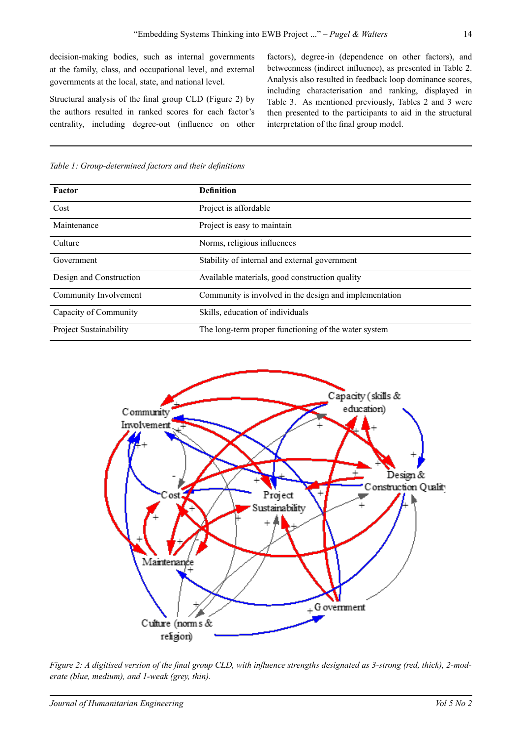decision-making bodies, such as internal governments at the family, class, and occupational level, and external governments at the local, state, and national level.

Structural analysis of the final group CLD (Figure 2) by the authors resulted in ranked scores for each factor's centrality, including degree-out (influence on other

factors), degree-in (dependence on other factors), and betweenness (indirect influence), as presented in Table 2. Analysis also resulted in feedback loop dominance scores, including characterisation and ranking, displayed in Table 3. As mentioned previously, Tables 2 and 3 were then presented to the participants to aid in the structural interpretation of the final group model.

*Table 1: Group-determined factors and their definitions*

| Factor                        | <b>Definition</b>                                      |
|-------------------------------|--------------------------------------------------------|
| Cost                          | Project is affordable                                  |
| Maintenance                   | Project is easy to maintain                            |
| Culture                       | Norms, religious influences                            |
| Government                    | Stability of internal and external government          |
| Design and Construction       | Available materials, good construction quality         |
| Community Involvement         | Community is involved in the design and implementation |
| Capacity of Community         | Skills, education of individuals                       |
| <b>Project Sustainability</b> | The long-term proper functioning of the water system   |



*Figure 2: A digitised version of the final group CLD, with influence strengths designated as 3-strong (red, thick), 2-moderate (blue, medium), and 1-weak (grey, thin).*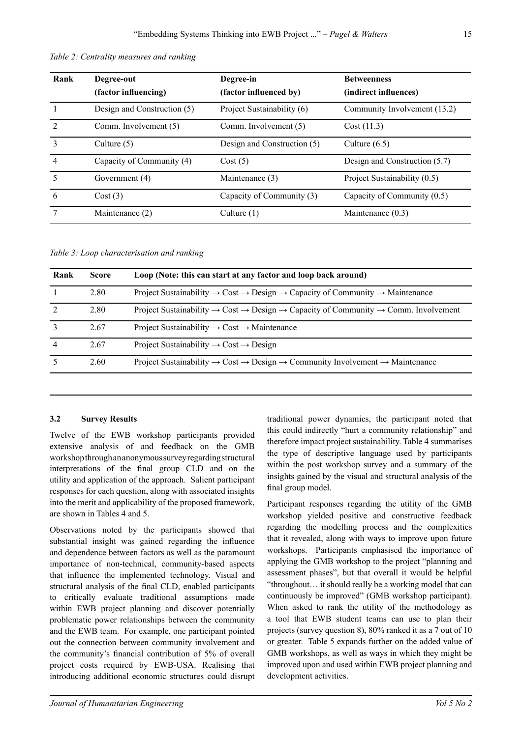| Rank           | Degree-out<br>(factor influencing) | Degree-in<br>(factor influenced by) | <b>Betweenness</b><br>(indirect influences) |
|----------------|------------------------------------|-------------------------------------|---------------------------------------------|
|                | Design and Construction (5)        | Project Sustainability (6)          | Community Involvement (13.2)                |
| $\overline{2}$ | Comm. Involvement (5)              | Comm. Involvement (5)               | Cost(11.3)                                  |
| $\mathcal{E}$  | Culture $(5)$                      | Design and Construction (5)         | Culture $(6.5)$                             |
| $\overline{4}$ | Capacity of Community (4)          | Cost(5)                             | Design and Construction (5.7)               |
| $\varsigma$    | Government (4)                     | Maintenance (3)                     | Project Sustainability (0.5)                |
| 6              | Cost(3)                            | Capacity of Community (3)           | Capacity of Community (0.5)                 |
|                | Maintenance (2)                    | Culture $(1)$                       | Maintenance $(0.3)$                         |

*Table 2: Centrality measures and ranking*

*Table 3: Loop characterisation and ranking*

| Rank | <b>Score</b> | Loop (Note: this can start at any factor and loop back around)                                                                     |
|------|--------------|------------------------------------------------------------------------------------------------------------------------------------|
|      | 2.80         | Project Sustainability $\rightarrow$ Cost $\rightarrow$ Design $\rightarrow$ Capacity of Community $\rightarrow$ Maintenance       |
|      | 2.80         | Project Sustainability $\rightarrow$ Cost $\rightarrow$ Design $\rightarrow$ Capacity of Community $\rightarrow$ Comm. Involvement |
|      | 2.67         | Project Sustainability $\rightarrow$ Cost $\rightarrow$ Maintenance                                                                |
|      | 2.67         | Project Sustainability $\rightarrow$ Cost $\rightarrow$ Design                                                                     |
|      | 2.60         | Project Sustainability $\rightarrow$ Cost $\rightarrow$ Design $\rightarrow$ Community Involvement $\rightarrow$ Maintenance       |
|      |              |                                                                                                                                    |

## **3.2 Survey Results**

Twelve of the EWB workshop participants provided extensive analysis of and feedback on the GMB workshop through an anonymous survey regarding structural interpretations of the final group CLD and on the utility and application of the approach. Salient participant responses for each question, along with associated insights into the merit and applicability of the proposed framework, are shown in Tables 4 and 5.

Observations noted by the participants showed that substantial insight was gained regarding the influence and dependence between factors as well as the paramount importance of non-technical, community-based aspects that influence the implemented technology. Visual and structural analysis of the final CLD, enabled participants to critically evaluate traditional assumptions made within EWB project planning and discover potentially problematic power relationships between the community and the EWB team. For example, one participant pointed out the connection between community involvement and the community's financial contribution of 5% of overall project costs required by EWB-USA. Realising that introducing additional economic structures could disrupt traditional power dynamics, the participant noted that this could indirectly "hurt a community relationship" and therefore impact project sustainability. Table 4 summarises the type of descriptive language used by participants within the post workshop survey and a summary of the insights gained by the visual and structural analysis of the final group model.

Participant responses regarding the utility of the GMB workshop yielded positive and constructive feedback regarding the modelling process and the complexities that it revealed, along with ways to improve upon future workshops. Participants emphasised the importance of applying the GMB workshop to the project "planning and assessment phases", but that overall it would be helpful "throughout… it should really be a working model that can continuously be improved" (GMB workshop participant). When asked to rank the utility of the methodology as a tool that EWB student teams can use to plan their projects (survey question 8), 80% ranked it as a 7 out of 10 or greater. Table 5 expands further on the added value of GMB workshops, as well as ways in which they might be improved upon and used within EWB project planning and development activities.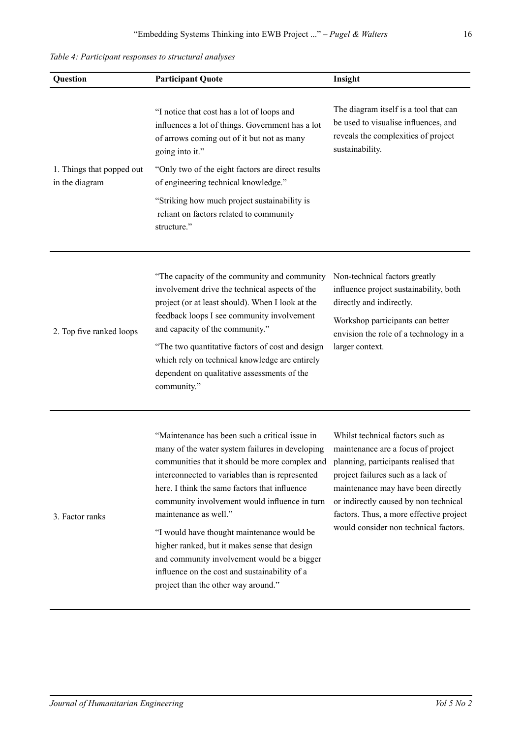*Table 4: Participant responses to structural analyses*

| Question                                    | <b>Participant Quote</b>                                                                                                                                                                                                                                                                                                                                                                                                                                                                                                                                                | Insight                                                                                                                                                                                                                                                                                                                 |
|---------------------------------------------|-------------------------------------------------------------------------------------------------------------------------------------------------------------------------------------------------------------------------------------------------------------------------------------------------------------------------------------------------------------------------------------------------------------------------------------------------------------------------------------------------------------------------------------------------------------------------|-------------------------------------------------------------------------------------------------------------------------------------------------------------------------------------------------------------------------------------------------------------------------------------------------------------------------|
|                                             | "I notice that cost has a lot of loops and<br>influences a lot of things. Government has a lot<br>of arrows coming out of it but not as many<br>going into it."                                                                                                                                                                                                                                                                                                                                                                                                         | The diagram itself is a tool that can<br>be used to visualise influences, and<br>reveals the complexities of project<br>sustainability.                                                                                                                                                                                 |
| 1. Things that popped out<br>in the diagram | "Only two of the eight factors are direct results<br>of engineering technical knowledge."<br>"Striking how much project sustainability is<br>reliant on factors related to community<br>structure."                                                                                                                                                                                                                                                                                                                                                                     |                                                                                                                                                                                                                                                                                                                         |
| 2. Top five ranked loops                    | "The capacity of the community and community<br>involvement drive the technical aspects of the<br>project (or at least should). When I look at the<br>feedback loops I see community involvement<br>and capacity of the community."<br>"The two quantitative factors of cost and design<br>which rely on technical knowledge are entirely<br>dependent on qualitative assessments of the<br>community."                                                                                                                                                                 | Non-technical factors greatly<br>influence project sustainability, both<br>directly and indirectly.<br>Workshop participants can better<br>envision the role of a technology in a<br>larger context.                                                                                                                    |
| 3. Factor ranks                             | "Maintenance has been such a critical issue in<br>many of the water system failures in developing<br>communities that it should be more complex and<br>interconnected to variables than is represented<br>here. I think the same factors that influence<br>community involvement would influence in turn<br>maintenance as well."<br>"I would have thought maintenance would be<br>higher ranked, but it makes sense that design<br>and community involvement would be a bigger<br>influence on the cost and sustainability of a<br>project than the other way around." | Whilst technical factors such as<br>maintenance are a focus of project<br>planning, participants realised that<br>project failures such as a lack of<br>maintenance may have been directly<br>or indirectly caused by non technical<br>factors. Thus, a more effective project<br>would consider non technical factors. |

16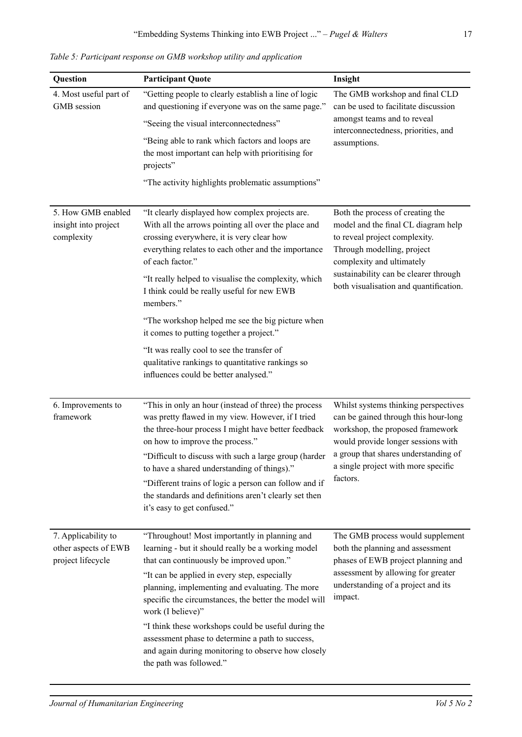*Table 5: Participant response on GMB workshop utility and application*

| Question                                                         | <b>Participant Quote</b>                                                                                                                                                                                                                                                                                                                                                                                                                                                                                                                                                                     | Insight                                                                                                                                                                                                                                                |
|------------------------------------------------------------------|----------------------------------------------------------------------------------------------------------------------------------------------------------------------------------------------------------------------------------------------------------------------------------------------------------------------------------------------------------------------------------------------------------------------------------------------------------------------------------------------------------------------------------------------------------------------------------------------|--------------------------------------------------------------------------------------------------------------------------------------------------------------------------------------------------------------------------------------------------------|
| 4. Most useful part of<br>GMB session                            | "Getting people to clearly establish a line of logic<br>and questioning if everyone was on the same page."<br>"Seeing the visual interconnectedness"<br>"Being able to rank which factors and loops are<br>the most important can help with prioritising for<br>projects"<br>"The activity highlights problematic assumptions"                                                                                                                                                                                                                                                               | The GMB workshop and final CLD<br>can be used to facilitate discussion<br>amongst teams and to reveal<br>interconnectedness, priorities, and<br>assumptions.                                                                                           |
| 5. How GMB enabled<br>insight into project<br>complexity         | "It clearly displayed how complex projects are.<br>With all the arrows pointing all over the place and<br>crossing everywhere, it is very clear how<br>everything relates to each other and the importance<br>of each factor."<br>"It really helped to visualise the complexity, which<br>I think could be really useful for new EWB<br>members."<br>"The workshop helped me see the big picture when<br>it comes to putting together a project."<br>"It was really cool to see the transfer of<br>qualitative rankings to quantitative rankings so<br>influences could be better analysed." | Both the process of creating the<br>model and the final CL diagram help<br>to reveal project complexity.<br>Through modelling, project<br>complexity and ultimately<br>sustainability can be clearer through<br>both visualisation and quantification. |
| 6. Improvements to<br>framework                                  | "This in only an hour (instead of three) the process<br>was pretty flawed in my view. However, if I tried<br>the three-hour process I might have better feedback<br>on how to improve the process."<br>"Difficult to discuss with such a large group (harder<br>to have a shared understanding of things)."<br>"Different trains of logic a person can follow and if<br>the standards and definitions aren't clearly set then<br>it's easy to get confused."                                                                                                                                 | Whilst systems thinking perspectives<br>can be gained through this hour-long<br>workshop, the proposed framework<br>would provide longer sessions with<br>a group that shares understanding of<br>a single project with more specific<br>factors.      |
| 7. Applicability to<br>other aspects of EWB<br>project lifecycle | "Throughout! Most importantly in planning and<br>learning - but it should really be a working model<br>that can continuously be improved upon."<br>"It can be applied in every step, especially<br>planning, implementing and evaluating. The more<br>specific the circumstances, the better the model will<br>work (I believe)"<br>"I think these workshops could be useful during the<br>assessment phase to determine a path to success,<br>and again during monitoring to observe how closely<br>the path was followed."                                                                 | The GMB process would supplement<br>both the planning and assessment<br>phases of EWB project planning and<br>assessment by allowing for greater<br>understanding of a project and its<br>impact.                                                      |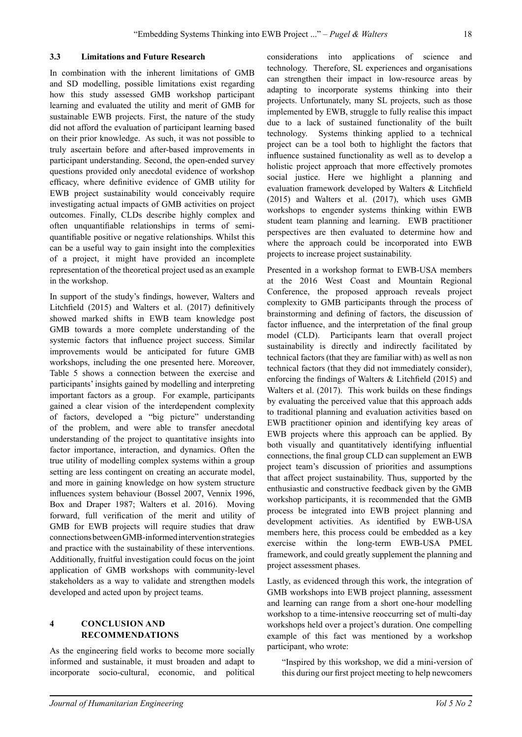#### **3.3 Limitations and Future Research**

In combination with the inherent limitations of GMB and SD modelling, possible limitations exist regarding how this study assessed GMB workshop participant learning and evaluated the utility and merit of GMB for sustainable EWB projects. First, the nature of the study did not afford the evaluation of participant learning based on their prior knowledge. As such, it was not possible to truly ascertain before and after-based improvements in participant understanding. Second, the open-ended survey questions provided only anecdotal evidence of workshop efficacy, where definitive evidence of GMB utility for EWB project sustainability would conceivably require investigating actual impacts of GMB activities on project outcomes. Finally, CLDs describe highly complex and often unquantifiable relationships in terms of semiquantifiable positive or negative relationships. Whilst this can be a useful way to gain insight into the complexities of a project, it might have provided an incomplete representation of the theoretical project used as an example in the workshop.

In support of the study's findings, however, Walters and Litchfield (2015) and Walters et al. (2017) definitively showed marked shifts in EWB team knowledge post GMB towards a more complete understanding of the systemic factors that influence project success. Similar improvements would be anticipated for future GMB workshops, including the one presented here. Moreover, Table 5 shows a connection between the exercise and participants' insights gained by modelling and interpreting important factors as a group. For example, participants gained a clear vision of the interdependent complexity of factors, developed a "big picture" understanding of the problem, and were able to transfer anecdotal understanding of the project to quantitative insights into factor importance, interaction, and dynamics. Often the true utility of modelling complex systems within a group setting are less contingent on creating an accurate model, and more in gaining knowledge on how system structure influences system behaviour (Bossel 2007, Vennix 1996, Box and Draper 1987; Walters et al. 2016). Moving forward, full verification of the merit and utility of GMB for EWB projects will require studies that draw connections between GMB-informed intervention strategies and practice with the sustainability of these interventions. Additionally, fruitful investigation could focus on the joint application of GMB workshops with community-level stakeholders as a way to validate and strengthen models developed and acted upon by project teams.

#### **4 Conclusion and Recommendations**

As the engineering field works to become more socially informed and sustainable, it must broaden and adapt to incorporate socio-cultural, economic, and political considerations into applications of science and technology. Therefore, SL experiences and organisations can strengthen their impact in low-resource areas by adapting to incorporate systems thinking into their projects. Unfortunately, many SL projects, such as those implemented by EWB, struggle to fully realise this impact due to a lack of sustained functionality of the built technology. Systems thinking applied to a technical project can be a tool both to highlight the factors that influence sustained functionality as well as to develop a holistic project approach that more effectively promotes social justice. Here we highlight a planning and evaluation framework developed by Walters & Litchfield (2015) and Walters et al. (2017), which uses GMB workshops to engender systems thinking within EWB student team planning and learning. EWB practitioner perspectives are then evaluated to determine how and where the approach could be incorporated into EWB projects to increase project sustainability.

Presented in a workshop format to EWB-USA members at the 2016 West Coast and Mountain Regional Conference, the proposed approach reveals project complexity to GMB participants through the process of brainstorming and defining of factors, the discussion of factor influence, and the interpretation of the final group model (CLD). Participants learn that overall project sustainability is directly and indirectly facilitated by technical factors (that they are familiar with) as well as non technical factors (that they did not immediately consider), enforcing the findings of Walters & Litchfield (2015) and Walters et al. (2017). This work builds on these findings by evaluating the perceived value that this approach adds to traditional planning and evaluation activities based on EWB practitioner opinion and identifying key areas of EWB projects where this approach can be applied. By both visually and quantitatively identifying influential connections, the final group CLD can supplement an EWB project team's discussion of priorities and assumptions that affect project sustainability. Thus, supported by the enthusiastic and constructive feedback given by the GMB workshop participants, it is recommended that the GMB process be integrated into EWB project planning and development activities. As identified by EWB-USA members here, this process could be embedded as a key exercise within the long-term EWB-USA PMEL framework, and could greatly supplement the planning and project assessment phases.

Lastly, as evidenced through this work, the integration of GMB workshops into EWB project planning, assessment and learning can range from a short one-hour modelling workshop to a time-intensive reoccurring set of multi-day workshops held over a project's duration. One compelling example of this fact was mentioned by a workshop participant, who wrote:

"Inspired by this workshop, we did a mini-version of this during our first project meeting to help newcomers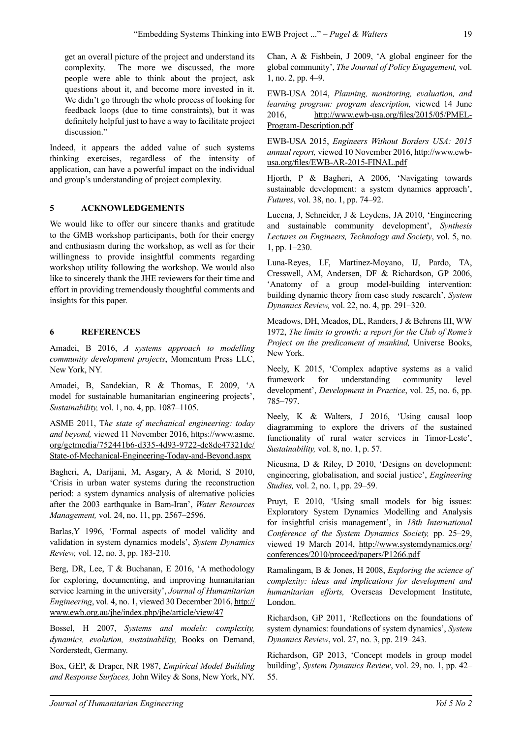get an overall picture of the project and understand its complexity. The more we discussed, the more people were able to think about the project, ask questions about it, and become more invested in it. We didn't go through the whole process of looking for feedback loops (due to time constraints), but it was definitely helpful just to have a way to facilitate project discussion."

Indeed, it appears the added value of such systems thinking exercises, regardless of the intensity of application, can have a powerful impact on the individual and group's understanding of project complexity.

## **5 ACKNOWLEDGEMENTS**

We would like to offer our sincere thanks and gratitude to the GMB workshop participants, both for their energy and enthusiasm during the workshop, as well as for their willingness to provide insightful comments regarding workshop utility following the workshop. We would also like to sincerely thank the JHE reviewers for their time and effort in providing tremendously thoughtful comments and insights for this paper.

# **6 REFERENCES**

Amadei, B 2016, *A systems approach to modelling community development projects*, Momentum Press LLC, New York, NY.

Amadei, B, Sandekian, R & Thomas, E 2009, 'A model for sustainable humanitarian engineering projects', *Sustainability,* vol. 1, no. 4, pp. 1087–1105.

ASME 2011, T*he state of mechanical engineering: today*  and beyond, viewed 11 November 2016, [https://www.asme.](https://www.asme.org/getmedia/752441b6-d335-4d93-9722-de8dc47321de/State-of-Mechanical-Engineering-Today-and-Beyond.aspx
) [org/getmedia/752441b6-d335-4d93-9722-de8dc47321de/](https://www.asme.org/getmedia/752441b6-d335-4d93-9722-de8dc47321de/State-of-Mechanical-Engineering-Today-and-Beyond.aspx
) [State-of-Mechanical-Engineering-Today-and-Beyond.aspx](https://www.asme.org/getmedia/752441b6-d335-4d93-9722-de8dc47321de/State-of-Mechanical-Engineering-Today-and-Beyond.aspx
)

Bagheri, A, Darijani, M, Asgary, A & Morid, S 2010, 'Crisis in urban water systems during the reconstruction period: a system dynamics analysis of alternative policies after the 2003 earthquake in Bam-Iran', *Water Resources Management,* vol. 24, no. 11, pp. 2567–2596.

Barlas,Y 1996, 'Formal aspects of model validity and validation in system dynamics models', *System Dynamics Review,* vol. 12, no. 3, pp. 183-210.

Berg, DR, Lee, T & Buchanan, E 2016, 'A methodology for exploring, documenting, and improving humanitarian service learning in the university', *Journal of Humanitarian Engineering*, vol. 4, no. 1, viewed 30 December 2016, [http://](http://www.ewb.org.au/jhe/index.php/jhe/article/view/47) [www.ewb.org.au/jhe/index.php/jhe/article/view/47](http://www.ewb.org.au/jhe/index.php/jhe/article/view/47)

Bossel, H 2007, *Systems and models: complexity, dynamics, evolution, sustainability,* Books on Demand, Norderstedt, Germany.

Box, GEP, & Draper, NR 1987, *Empirical Model Building and Response Surfaces,* John Wiley & Sons, New York, NY. Chan, A & Fishbein, J 2009, 'A global engineer for the global community', *The Journal of Policy Engagement,* vol. 1, no. 2, pp. 4–9.

EWB-USA 2014, *Planning, monitoring, evaluation, and learning program: program description,* viewed 14 June 2016, [http://www.ewb-usa.org/files/2015/05/PMEL-](http://www.ewb-usa.org/files/2015/05/PMEL-
Program-Description.pdf)[Program-Description.pdf](http://www.ewb-usa.org/files/2015/05/PMEL-
Program-Description.pdf)

EWB-USA 2015, *Engineers Without Borders USA: 2015 annual report,* viewed 10 November 2016, [http://www.ewb](http://www.ewb-usa.org/files/EWB-AR-2015-FINAL.pdf
)[usa.org/files/EWB-AR-2015-FINAL.pdf](http://www.ewb-usa.org/files/EWB-AR-2015-FINAL.pdf
)

Hjorth, P & Bagheri, A 2006, 'Navigating towards sustainable development: a system dynamics approach', *Futures*, vol. 38, no. 1, pp. 74–92.

Lucena, J, Schneider, J & Leydens, JA 2010, 'Engineering and sustainable community development', *Synthesis Lectures on Engineers, Technology and Society*, vol. 5, no. 1, pp. 1–230.

Luna-Reyes, LF, Martinez-Moyano, IJ, Pardo, TA, Cresswell, AM, Andersen, DF & Richardson, GP 2006, 'Anatomy of a group model-building intervention: building dynamic theory from case study research', *System Dynamics Review,* vol. 22, no. 4, pp. 291–320.

Meadows, DH, Meados, DL, Randers, J & Behrens III, WW 1972, *The limits to growth: a report for the Club of Rome's Project on the predicament of mankind,* Universe Books, New York.

Neely, K 2015, 'Complex adaptive systems as a valid framework for understanding community level development', *Development in Practice*, vol. 25, no. 6, pp. 785–797.

Neely, K & Walters, J 2016, 'Using causal loop diagramming to explore the drivers of the sustained functionality of rural water services in Timor-Leste', *Sustainability,* vol. 8, no. 1, p. 57.

Nieusma, D & Riley, D 2010, 'Designs on development: engineering, globalisation, and social justice', *Engineering Studies,* vol. 2, no. 1, pp. 29–59.

Pruyt, E 2010, 'Using small models for big issues: Exploratory System Dynamics Modelling and Analysis for insightful crisis management', in *18th International Conference of the System Dynamics Society,* pp. 25–29, viewed 19 March 2014, [http://www.systemdynamics.org/](http://www.systemdynamics.org/conferences/2010/proceed/papers/P1266.pdf) [conferences/2010/proceed/papers/P1266.pdf](http://www.systemdynamics.org/conferences/2010/proceed/papers/P1266.pdf)

Ramalingam, B & Jones, H 2008, *Exploring the science of complexity: ideas and implications for development and humanitarian efforts,* Overseas Development Institute, London.

Richardson, GP 2011, 'Reflections on the foundations of system dynamics: foundations of system dynamics', *System Dynamics Review*, vol. 27, no. 3, pp. 219–243.

Richardson, GP 2013, 'Concept models in group model building', *System Dynamics Review*, vol. 29, no. 1, pp. 42– 55.